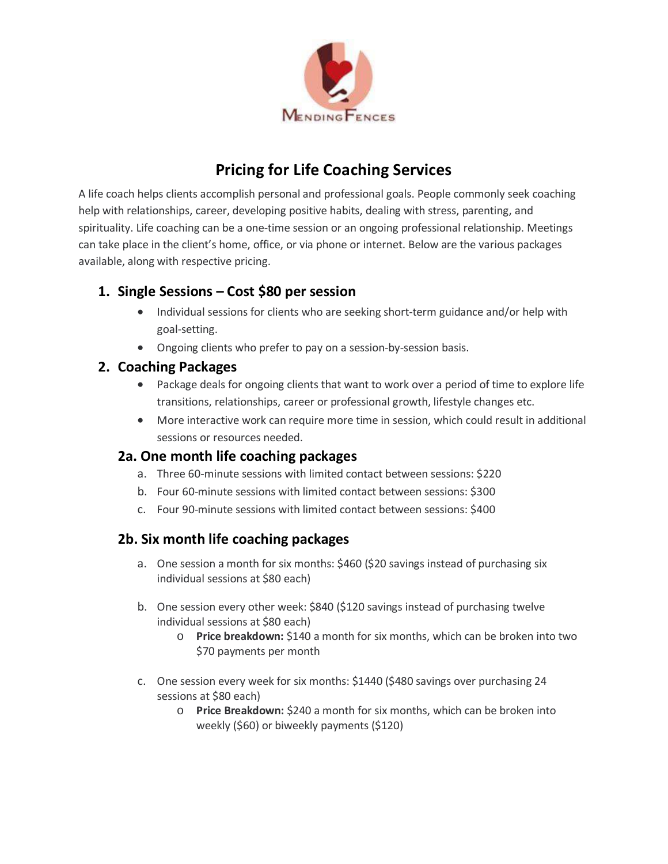

# **Pricing for Life Coaching Services**

A life coach helps clients accomplish personal and professional goals. People commonly seek coaching help with relationships, career, developing positive habits, dealing with stress, parenting, and spirituality. Life coaching can be a one-time session or an ongoing professional relationship. Meetings can take place in the client's home, office, or via phone or internet. Below are the various packages available, along with respective pricing.

### **1. Single Sessions – Cost \$80 per session**

- Individual sessions for clients who are seeking short-term guidance and/or help with goal-setting.
- Ongoing clients who prefer to pay on a session-by-session basis.

### **2. Coaching Packages**

- Package deals for ongoing clients that want to work over a period of time to explore life transitions, relationships, career or professional growth, lifestyle changes etc.
- More interactive work can require more time in session, which could result in additional sessions or resources needed.

### **2a. One month life coaching packages**

- a. Three 60-minute sessions with limited contact between sessions: \$220
- b. Four 60-minute sessions with limited contact between sessions: \$300
- c. Four 90-minute sessions with limited contact between sessions: \$400

## **2b. Six month life coaching packages**

- a. One session a month for six months: \$460 (\$20 savings instead of purchasing six individual sessions at \$80 each)
- b. One session every other week: \$840 (\$120 savings instead of purchasing twelve individual sessions at \$80 each)
	- o **Price breakdown:** \$140 a month for six months, which can be broken into two \$70 payments per month
- c. One session every week for six months: \$1440 (\$480 savings over purchasing 24 sessions at \$80 each)
	- o **Price Breakdown:** \$240 a month for six months, which can be broken into weekly (\$60) or biweekly payments (\$120)